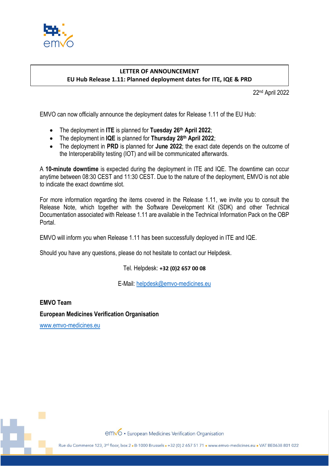

## **LETTER OF ANNOUNCEMENT EU Hub Release 1.11: Planned deployment dates for ITE, IQE & PRD**

22 nd April 2022

EMVO can now officially announce the deployment dates for Release 1.11 of the EU Hub:

- The deployment in **ITE** is planned for **Tuesday 26th April 2022**;
- The deployment in **IQE** is planned for **Thursday 28th April 2022**;
- The deployment in **PRD** is planned for **June 2022**; the exact date depends on the outcome of the Interoperability testing (IOT) and will be communicated afterwards.

A **10-minute downtime** is expected during the deployment in ITE and IQE. The downtime can occur anytime between 08:30 CEST and 11:30 CEST. Due to the nature of the deployment, EMVO is not able to indicate the exact downtime slot.

For more information regarding the items covered in the Release 1.11, we invite you to consult the Release Note, which together with the Software Development Kit (SDK) and other Technical Documentation associated with Release 1.11 are available in the Technical Information Pack on the OBP Portal.

EMVO will inform you when Release 1.11 has been successfully deployed in ITE and IQE.

Should you have any questions, please do not hesitate to contact our Helpdesk.

Tel. Helpdesk: **+32 (0)2 657 00 08**

E-Mail: [helpdesk@emvo-medicines.eu](mailto:helpdesk@emvo-medicines.eu)

**EMVO Team European Medicines Verification Organisation**

[www.emvo-medicines.eu](http://www.emvo-medicines.eu/)

emvo · European Medicines Verification Organisation